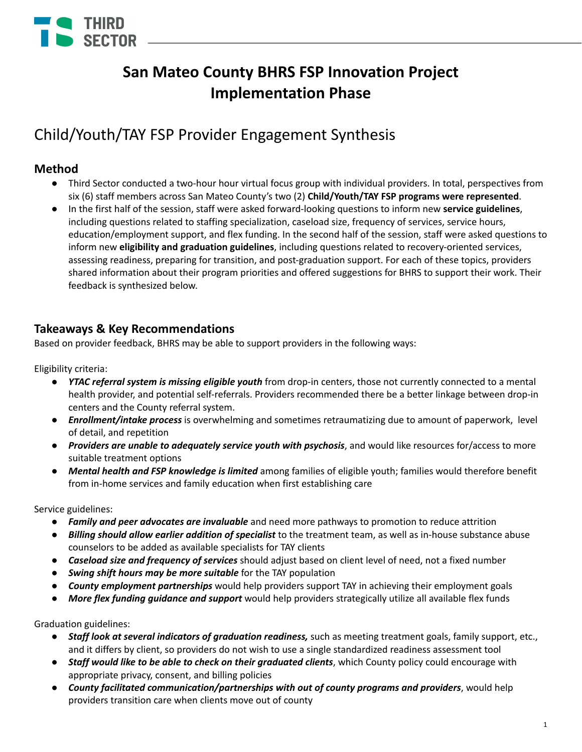

# **San Mateo County BHRS FSP Innovation Project Implementation Phase**

# Child/Youth/TAY FSP Provider Engagement Synthesis

## **Method**

- Third Sector conducted a two-hour hour virtual focus group with individual providers. In total, perspectives from six (6) staff members across San Mateo County's two (2) **Child/Youth/TAY FSP programs were represented**.
- In the first half of the session, staff were asked forward-looking questions to inform new **service guidelines**, including questions related to staffing specialization, caseload size, frequency of services, service hours, education/employment support, and flex funding. In the second half of the session, staff were asked questions to inform new **eligibility and graduation guidelines**, including questions related to recovery-oriented services, assessing readiness, preparing for transition, and post-graduation support. For each of these topics, providers shared information about their program priorities and offered suggestions for BHRS to support their work. Their feedback is synthesized below.

## **Takeaways & Key Recommendations**

Based on provider feedback, BHRS may be able to support providers in the following ways:

Eligibility criteria:

- *● YTAC referral system is missing eligible youth* from drop-in centers, those not currently connected to a mental health provider, and potential self-referrals. Providers recommended there be a better linkage between drop-in centers and the County referral system.
- *● Enrollment/intake process* is overwhelming and sometimes retraumatizing due to amount of paperwork, level of detail, and repetition
- *Providers are unable to adequately service youth with psychosis*, and would like resources for/access to more suitable treatment options
- *Mental health and FSP knowledge is limited* among families of eligible youth; families would therefore benefit from in-home services and family education when first establishing care

Service guidelines:

- *● Family and peer advocates are invaluable* and need more pathways to promotion to reduce attrition
- *● Billing should allow earlier addition of specialist* to the treatment team, as well as in-house substance abuse counselors to be added as available specialists for TAY clients
- *Caseload size and frequency of services* should adjust based on client level of need, not a fixed number
- *Swing shift hours may be more suitable* for the TAY population
- *County employment partnerships* would help providers support TAY in achieving their employment goals
- *● More flex funding guidance and support* would help providers strategically utilize all available flex funds

Graduation guidelines:

- *● Staff look at several indicators of graduation readiness,* such as meeting treatment goals, family support, etc., and it differs by client, so providers do not wish to use a single standardized readiness assessment tool
- *● Staff would like to be able to check on their graduated clients*, which County policy could encourage with appropriate privacy, consent, and billing policies
- *County facilitated communication/partnerships with out of county programs and providers*, would help providers transition care when clients move out of county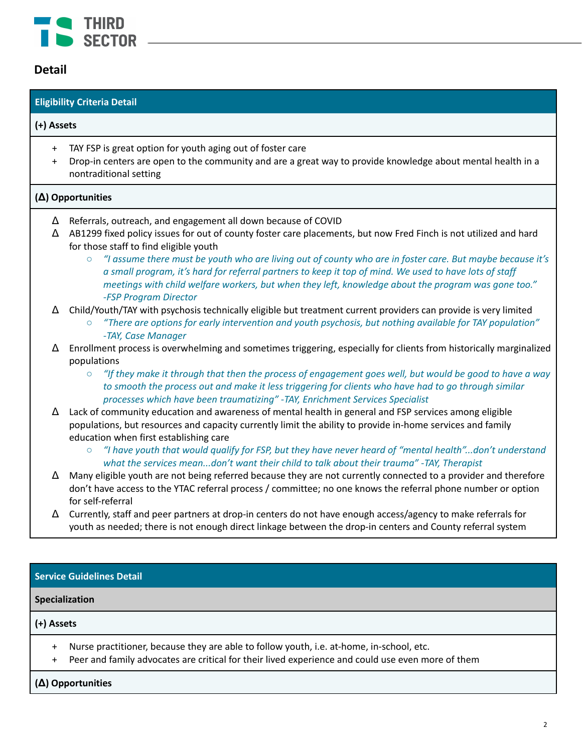

## **Detail**

# **Eligibility Criteria Detail (+) Assets** + TAY FSP is great option for youth aging out of foster care + Drop-in centers are open to the community and are a great way to provide knowledge about mental health in a nontraditional setting **(Δ) Opportunities** Δ Referrals, outreach, and engagement all down because of COVID Δ AB1299 fixed policy issues for out of county foster care placements, but now Fred Finch is not utilized and hard for those staff to find eligible youth ○ "I assume there must be youth who are living out of county who are in foster care. But maybe because it's a small program, it's hard for referral partners to keep it top of mind. We used to have lots of staff *meetings with child welfare workers, but when they left, knowledge about the program was gone too." -FSP Program Director*  $\Delta$  Child/Youth/TAY with psychosis technically eligible but treatment current providers can provide is very limited *○ "There are options for early intervention and youth psychosis, but nothing available for TAY population" -TAY, Case Manager* Δ Enrollment process is overwhelming and sometimes triggering, especially for clients from historically marginalized populations  $\circ$  "If they make it through that then the process of engagement goes well, but would be good to have a way to smooth the process out and make it less triggering for clients who have had to go through similar *processes which have been traumatizing" -TAY, Enrichment Services Specialist*  $\Delta$  Lack of community education and awareness of mental health in general and FSP services among eligible populations, but resources and capacity currently limit the ability to provide in-home services and family education when first establishing care "I have youth that would qualify for FSP, but they have never heard of "mental health"...don't understand *what the services mean...don't want their child to talk about their trauma" -TAY, Therapist* Δ Many eligible youth are not being referred because they are not currently connected to a provider and therefore don't have access to the YTAC referral process / committee; no one knows the referral phone number or option for self-referral Δ Currently, staff and peer partners at drop-in centers do not have enough access/agency to make referrals for youth as needed; there is not enough direct linkage between the drop-in centers and County referral system **Service Guidelines Detail Specialization**

### **(+) Assets**

- + Nurse practitioner, because they are able to follow youth, i.e. at-home, in-school, etc.
- + Peer and family advocates are critical for their lived experience and could use even more of them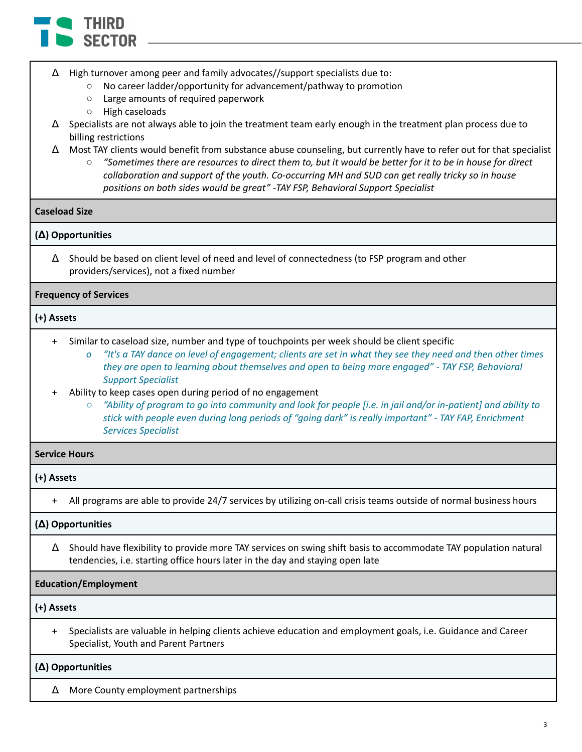

- Δ High turnover among peer and family advocates//support specialists due to:
	- No career ladder/opportunity for advancement/pathway to promotion
	- Large amounts of required paperwork
	- High caseloads
- $\Delta$  Specialists are not always able to join the treatment team early enough in the treatment plan process due to billing restrictions
- Δ Most TAY clients would benefit from substance abuse counseling, but currently have to refer out for that specialist
	- $\circ$  "Sometimes there are resources to direct them to, but it would be better for it to be in house for direct *collaboration and support of the youth. Co-occurring MH and SUD can get really tricky so in house positions on both sides would be great" -TAY FSP, Behavioral Support Specialist*

#### **Caseload Size**

### **(Δ) Opportunities**

Δ Should be based on client level of need and level of connectedness (to FSP program and other providers/services), not a fixed number

### **Frequency of Services**

### **(+) Assets**

- + Similar to caseload size, number and type of touchpoints per week should be client specific
	- o "It's a TAY dance on level of engagement; clients are set in what they see they need and then other times *they are open to learning about themselves and open to being more engaged" - TAY FSP, Behavioral Support Specialist*
- Ability to keep cases open during period of no engagement
	- $\circ$  "Ability of program to go into community and look for people [i.e. in jail and/or in-patient] and ability to *stick with people even during long periods of "going dark" is really important" - TAY FAP, Enrichment Services Specialist*

### **Service Hours**

#### **(+) Assets**

+ All programs are able to provide 24/7 services by utilizing on-call crisis teams outside of normal business hours

### **(Δ) Opportunities**

Δ Should have flexibility to provide more TAY services on swing shift basis to accommodate TAY population natural tendencies, i.e. starting office hours later in the day and staying open late

### **Education/Employment**

**(+) Assets**

+ Specialists are valuable in helping clients achieve education and employment goals, i.e. Guidance and Career Specialist, Youth and Parent Partners

#### **(Δ) Opportunities**

Δ More County employment partnerships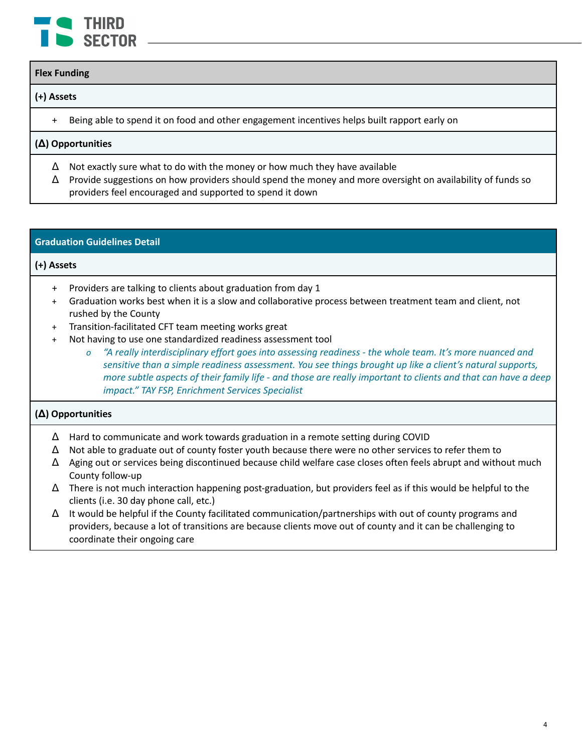

#### **Flex Funding**

### **(+) Assets**

+ Being able to spend it on food and other engagement incentives helps built rapport early on

### **(Δ) Opportunities**

- $\Delta$  Not exactly sure what to do with the money or how much they have available
- $\Delta$  Provide suggestions on how providers should spend the money and more oversight on availability of funds so providers feel encouraged and supported to spend it down

### **Graduation Guidelines Detail**

### **(+) Assets**

- + Providers are talking to clients about graduation from day 1
- + Graduation works best when it is a slow and collaborative process between treatment team and client, not rushed by the County
- + Transition-facilitated CFT team meeting works great
- + Not having to use one standardized readiness assessment tool
	- o "A really interdisciplinary effort goes into assessing readiness the whole team. It's more nuanced and *sensitive than a simple readiness assessment. You see things brought up like a client's natural supports,* more subtle aspects of their family life - and those are really important to clients and that can have a deep *impact." TAY FSP, Enrichment Services Specialist*

- Δ Hard to communicate and work towards graduation in a remote setting during COVID
- $\Delta$  Not able to graduate out of county foster youth because there were no other services to refer them to
- Δ Aging out or services being discontinued because child welfare case closes often feels abrupt and without much County follow-up
- $\Delta$  There is not much interaction happening post-graduation, but providers feel as if this would be helpful to the clients (i.e. 30 day phone call, etc.)
- Δ It would be helpful if the County facilitated communication/partnerships with out of county programs and providers, because a lot of transitions are because clients move out of county and it can be challenging to coordinate their ongoing care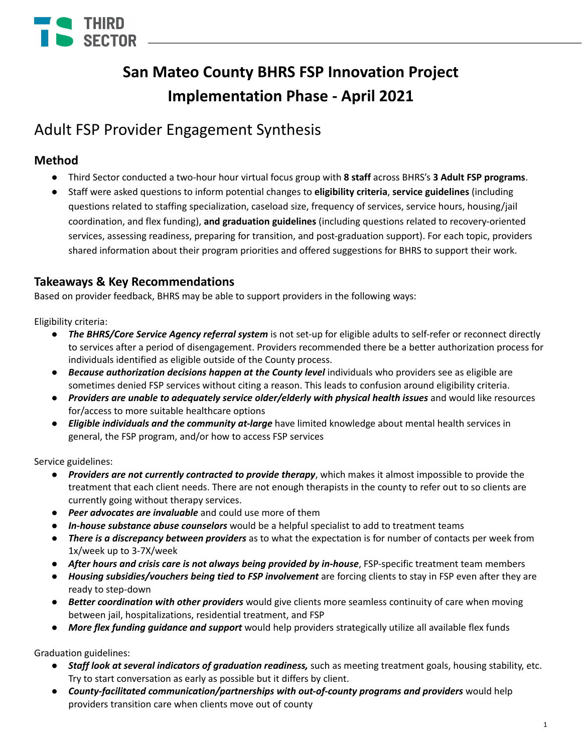

# **San Mateo County BHRS FSP Innovation Project Implementation Phase - April 2021**

# Adult FSP Provider Engagement Synthesis

# **Method**

- Third Sector conducted a two-hour hour virtual focus group with **8 staff** across BHRS's **3 Adult FSP programs**.
- Staff were asked questions to inform potential changes to **eligibility criteria**, **service guidelines** (including questions related to staffing specialization, caseload size, frequency of services, service hours, housing/jail coordination, and flex funding), **and graduation guidelines** (including questions related to recovery-oriented services, assessing readiness, preparing for transition, and post-graduation support). For each topic, providers shared information about their program priorities and offered suggestions for BHRS to support their work.

## **Takeaways & Key Recommendations**

Based on provider feedback, BHRS may be able to support providers in the following ways:

Eligibility criteria:

- *● The BHRS/Core Service Agency referral system* is not set-up for eligible adults to self-refer or reconnect directly to services after a period of disengagement. Providers recommended there be a better authorization process for individuals identified as eligible outside of the County process.
- *● Because authorization decisions happen at the County level* individuals who providers see as eligible are sometimes denied FSP services without citing a reason. This leads to confusion around eligibility criteria.
- *Providers are unable to adequately service older/elderly with physical health issues* and would like resources for/access to more suitable healthcare options
- *Eligible individuals and the community at-large* have limited knowledge about mental health services in general, the FSP program, and/or how to access FSP services

Service guidelines:

- *Providers are not currently contracted to provide therapy*, which makes it almost impossible to provide the treatment that each client needs. There are not enough therapists in the county to refer out to so clients are currently going without therapy services.
- *● Peer advocates are invaluable* and could use more of them
- *● In-house substance abuse counselors* would be a helpful specialist to add to treatment teams
- *There is a discrepancy between providers* as to what the expectation is for number of contacts per week from 1x/week up to 3-7X/week
- *After hours and crisis care is not always being provided by in-house*, FSP-specific treatment team members
- *Housing subsidies/vouchers being tied to FSP involvement* are forcing clients to stay in FSP even after they are ready to step-down
- *Better coordination with other providers* would give clients more seamless continuity of care when moving between jail, hospitalizations, residential treatment, and FSP
- *● More flex funding guidance and support* would help providers strategically utilize all available flex funds

Graduation guidelines:

- *● Staff look at several indicators of graduation readiness,* such as meeting treatment goals, housing stability, etc. Try to start conversation as early as possible but it differs by client.
- *County-facilitated communication/partnerships with out-of-county programs and providers* would help providers transition care when clients move out of county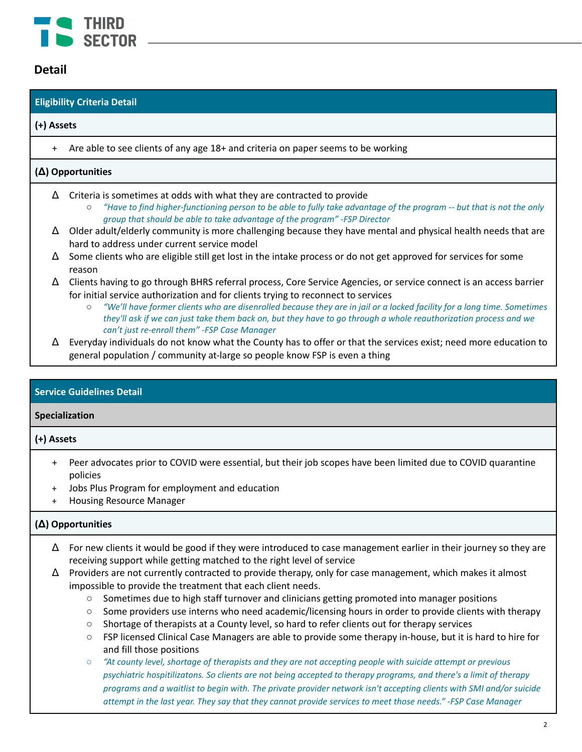

## **Detail**

| <b>Eligibility Criteria Detail</b> |                                                                                                                                                                                                                                                                                                                                                                                                                                                                                                                    |
|------------------------------------|--------------------------------------------------------------------------------------------------------------------------------------------------------------------------------------------------------------------------------------------------------------------------------------------------------------------------------------------------------------------------------------------------------------------------------------------------------------------------------------------------------------------|
| (+) Assets                         |                                                                                                                                                                                                                                                                                                                                                                                                                                                                                                                    |
| $+$                                | Are able to see clients of any age 18+ and criteria on paper seems to be working                                                                                                                                                                                                                                                                                                                                                                                                                                   |
| $(\Delta)$ Opportunities           |                                                                                                                                                                                                                                                                                                                                                                                                                                                                                                                    |
| Δ                                  | Criteria is sometimes at odds with what they are contracted to provide<br>"Have to find higher-functioning person to be able to fully take advantage of the program -- but that is not the only<br>$\circ$<br>group that should be able to take advantage of the program" -FSP Director                                                                                                                                                                                                                            |
| Δ                                  | Older adult/elderly community is more challenging because they have mental and physical health needs that are<br>hard to address under current service model                                                                                                                                                                                                                                                                                                                                                       |
| Δ                                  | Some clients who are eligible still get lost in the intake process or do not get approved for services for some<br>reason                                                                                                                                                                                                                                                                                                                                                                                          |
| Δ                                  | Clients having to go through BHRS referral process, Core Service Agencies, or service connect is an access barrier<br>for initial service authorization and for clients trying to reconnect to services<br>"We'll have former clients who are disenrolled because they are in jail or a locked facility for a long time. Sometimes<br>$\circ$<br>they'll ask if we can just take them back on, but they have to go through a whole reauthorization process and we<br>can't just re-enroll them" - FSP Case Manager |
| Δ                                  | Everyday individuals do not know what the County has to offer or that the services exist; need more education to<br>general population / community at-large so people know FSP is even a thing                                                                                                                                                                                                                                                                                                                     |

### **Service Guidelines Detail**

### **Specialization**

### **(+) Assets**

- + Peer advocates prior to COVID were essential, but their job scopes have been limited due to COVID quarantine policies
- + Jobs Plus Program for employment and education
- **Housing Resource Manager**

- $\Delta$  For new clients it would be good if they were introduced to case management earlier in their journey so they are receiving support while getting matched to the right level of service
- Δ Providers are not currently contracted to provide therapy, only for case management, which makes it almost impossible to provide the treatment that each client needs.
	- Sometimes due to high staff turnover and clinicians getting promoted into manager positions
	- Some providers use interns who need academic/licensing hours in order to provide clients with therapy
	- Shortage of therapists at a County level, so hard to refer clients out for therapy services
	- FSP licensed Clinical Case Managers are able to provide some therapy in-house, but it is hard to hire for and fill those positions
	- "At county level, shortage of therapists and they are not accepting people with suicide attempt or previous psychiatric hospitilizatons. So clients are not being accepted to therapy programs, and there's a limit of therapy programs and a waitlist to begin with. The private provider network isn't accepting clients with SMI and/or suicide attempt in the last year. They say that they cannot provide services to meet those needs." -FSP Case Manager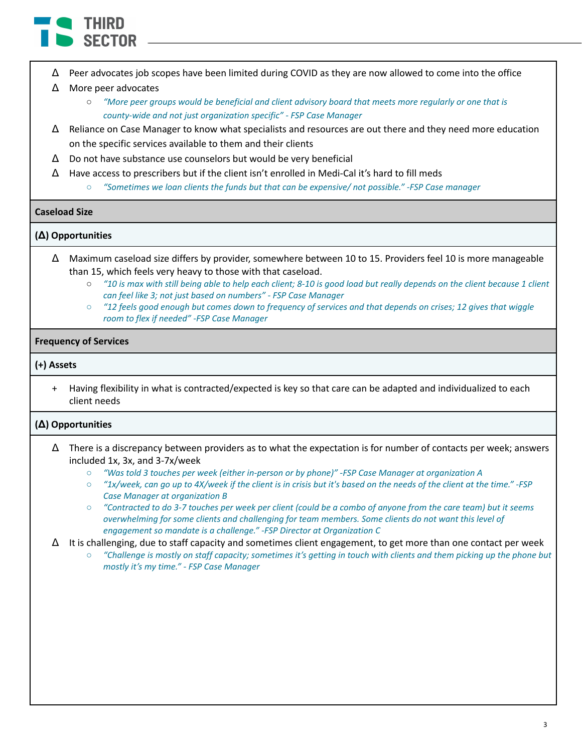

 $\Delta$  Peer advocates job scopes have been limited during COVID as they are now allowed to come into the office

### Δ More peer advocates

- o "More peer groups would be beneficial and client advisory board that meets more regularly or one that is *county-wide and not just organization specific" - FSP Case Manager*
- $\Delta$  Reliance on Case Manager to know what specialists and resources are out there and they need more education on the specific services available to them and their clients
- Δ Do not have substance use counselors but would be very beneficial
- $\Delta$  Have access to prescribers but if the client isn't enrolled in Medi-Cal it's hard to fill meds
	- *○ "Sometimes we loan clients the funds but that can be expensive/ not possible." -FSP Case manager*

### **Caseload Size**

### **(Δ) Opportunities**

- Δ Maximum caseload size differs by provider, somewhere between 10 to 15. Providers feel 10 is more manageable than 15, which feels very heavy to those with that caseload.
	- "10 is max with still being able to help each client; 8-10 is good load but really depends on the client because 1 client *can feel like 3; not just based on numbers" - FSP Case Manager*
	- $\circ$  "12 feels good enough but comes down to frequency of services and that depends on crises; 12 gives that wiggle *room to flex if needed" -FSP Case Manager*

### **Frequency of Services**

### **(+) Assets**

+ Having flexibility in what is contracted/expected is key so that care can be adapted and individualized to each client needs

- $\Delta$  There is a discrepancy between providers as to what the expectation is for number of contacts per week; answers included 1x, 3x, and 3-7x/week
	- *○ "Was told 3 touches per week (either in-person or by phone)" -FSP Case Manager at organization A*
	- $\circ$  "1x/week, can go up to 4X/week if the client is in crisis but it's based on the needs of the client at the time." -FSP *Case Manager at organization B*
	- "Contracted to do 3-7 touches per week per client (could be a combo of anyone from the care team) but it seems *overwhelming for some clients and challenging for team members. Some clients do not want this level of engagement so mandate is a challenge." -FSP Director at Organization C*
- $\Delta$  It is challenging, due to staff capacity and sometimes client engagement, to get more than one contact per week
	- "Challenge is mostly on staff capacity; sometimes it's getting in touch with clients and them picking up the phone but *mostly it's my time." - FSP Case Manager*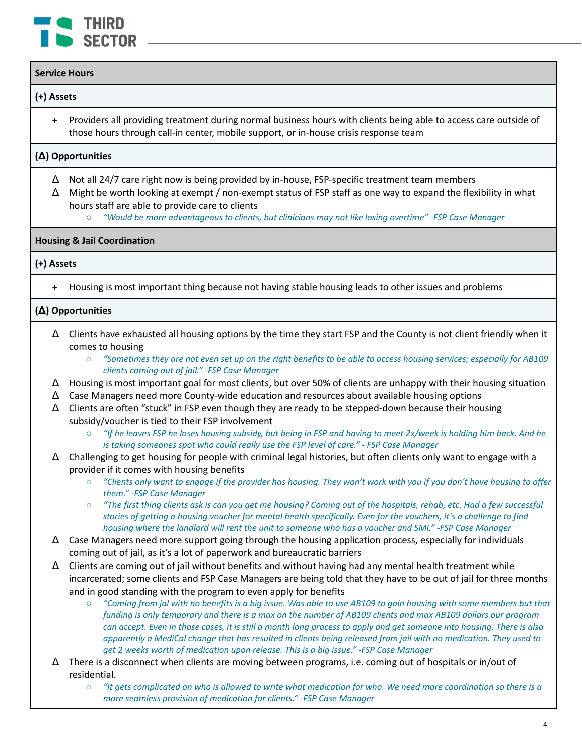

### **Service Hours**

### **(+) Assets**

+ Providers all providing treatment during normal business hours with clients being able to access care outside of those hours through call-in center, mobile support, or in-house crisis response team

### **(Δ) Opportunities**

- $\Delta$  Not all 24/7 care right now is being provided by in-house, FSP-specific treatment team members
- Δ Might be worth looking at exempt / non-exempt status of FSP staff as one way to expand the flexibility in what hours staff are able to provide care to clients
	- *○ "Would be more advantageous to clients, but clinicians may not like losing overtime" -FSP Case Manager*

### **Housing & Jail Coordination**

### **(+) Assets**

Housing is most important thing because not having stable housing leads to other issues and problems

- $\Delta$  Clients have exhausted all housing options by the time they start FSP and the County is not client friendly when it comes to housing
	- "Sometimes they are not even set up on the right benefits to be able to access housing services; especially for AB109 *clients coming out of jail." -FSP Case Manager*
- $\Delta$  Housing is most important goal for most clients, but over 50% of clients are unhappy with their housing situation
- $\Delta$  Case Managers need more County-wide education and resources about available housing options
- $\Delta$  Clients are often "stuck" in FSP even though they are ready to be stepped-down because their housing subsidy/voucher is tied to their FSP involvement
	- "If he leaves FSP he loses housing subsidy, but being in FSP and having to meet 2x/week is holding him back. And he *is taking someones spot who could really use the FSP level of care." - FSP Case Manager*
- $\Delta$  Challenging to get housing for people with criminal legal histories, but often clients only want to engage with a provider if it comes with housing benefits
	- "Clients only want to engage if the provider has housing. They won't work with you if you don't have housing to offer *them." -FSP Case Manager*
	- "The first thing clients ask is can you get me housing? Coming out of the hospitals, rehab, etc. Had a few successful stories of getting a housing voucher for mental health specifically. Even for the vouchers, it's a challenge to find housing where the landlord will rent the unit to someone who has a voucher and SMI." -FSP Case Manager
- $\Delta$  Case Managers need more support going through the housing application process, especially for individuals coming out of jail, as it's a lot of paperwork and bureaucratic barriers
- $\Delta$  Clients are coming out of jail without benefits and without having had any mental health treatment while incarcerated; some clients and FSP Case Managers are being told that they have to be out of jail for three months and in good standing with the program to even apply for benefits
	- $\circ$  "Coming from jal with no benefits is a big issue. Was able to use AB109 to gain housing with some members but that funding is only temporary and there is a max on the number of AB109 clients and max AB109 dollars our program can accept. Even in those cases, it is still a month long process to apply and get someone into housing. There is also apparently a MediCal change that has resulted in clients being released from jail with no medication. They used to *get 2 weeks worth of medication upon release. This is a big issue." -FSP Case Manager*
- $\Delta$  There is a disconnect when clients are moving between programs, i.e. coming out of hospitals or in/out of residential.
	- $\circ$  "It gets complicated on who is allowed to write what medication for who. We need more coordination so there is a *more seamless provision of medication for clients." -FSP Case Manager*